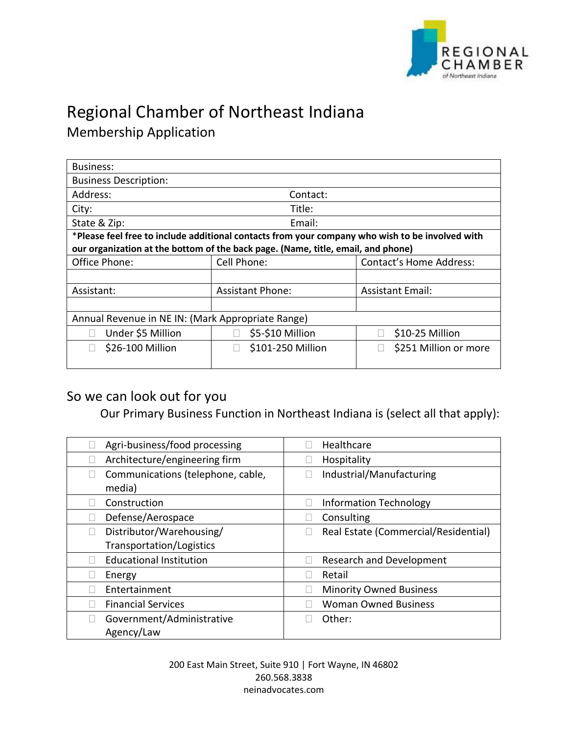

## Regional Chamber of Northeast Indiana

Membership Application

| <b>Business:</b>                                                                                |                         |                                |  |  |
|-------------------------------------------------------------------------------------------------|-------------------------|--------------------------------|--|--|
| <b>Business Description:</b>                                                                    |                         |                                |  |  |
| Address:                                                                                        | Contact:                |                                |  |  |
| City:                                                                                           | Title:                  |                                |  |  |
| State & Zip:                                                                                    | Email:                  |                                |  |  |
| *Please feel free to include additional contacts from your company who wish to be involved with |                         |                                |  |  |
| our organization at the bottom of the back page. (Name, title, email, and phone)                |                         |                                |  |  |
| Office Phone:                                                                                   | Cell Phone:             | <b>Contact's Home Address:</b> |  |  |
|                                                                                                 |                         |                                |  |  |
| Assistant:                                                                                      | <b>Assistant Phone:</b> | <b>Assistant Email:</b>        |  |  |
|                                                                                                 |                         |                                |  |  |
| Annual Revenue in NE IN: (Mark Appropriate Range)                                               |                         |                                |  |  |
| Under \$5 Million                                                                               | \$5-\$10 Million        | \$10-25 Million                |  |  |
| \$26-100 Million                                                                                | \$101-250 Million       | \$251 Million or more          |  |  |

## So we can look out for you

Our Primary Business Function in Northeast Indiana is (select all that apply):

| Agri-business/food processing               | Healthcare                           |
|---------------------------------------------|--------------------------------------|
| Architecture/engineering firm               | Hospitality                          |
| Communications (telephone, cable,<br>media) | Industrial/Manufacturing             |
| Construction                                | <b>Information Technology</b>        |
| Defense/Aerospace                           | Consulting                           |
| Distributor/Warehousing/                    | Real Estate (Commercial/Residential) |
| Transportation/Logistics                    |                                      |
| <b>Educational Institution</b>              | <b>Research and Development</b>      |
| Energy                                      | Retail                               |
| Entertainment                               | <b>Minority Owned Business</b>       |
| <b>Financial Services</b>                   | <b>Woman Owned Business</b>          |
| Government/Administrative                   | Other:                               |
| Agency/Law                                  |                                      |

200 East Main Street, Suite 910 | Fort Wayne, IN 46802 260.568.3838 neinadvocates.com